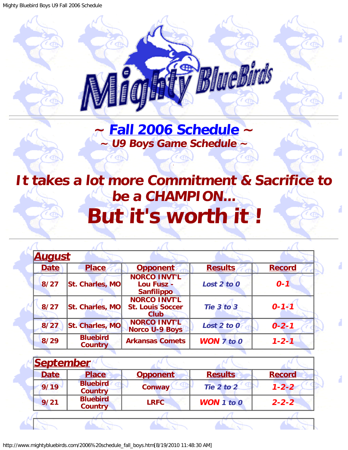<span id="page-0-0"></span>Mighty Bluebird Boys U9 Fall 2006 Schedule



**~ [Fall 2006 Schedule](#page-0-0) ~ ~ U9 Boys Game Schedule ~**

.

 $\epsilon$  and

## <span id="page-0-1"></span>**It takes a lot more Commitment & Sacrifice to be a CHAMPION... But it's worth it !**

| <b>August</b> |                                   |                                                               |                       |               |
|---------------|-----------------------------------|---------------------------------------------------------------|-----------------------|---------------|
| <b>Date</b>   | <b>Place</b>                      | <b>Opponent</b>                                               | <b>Results</b>        | <b>Record</b> |
| $8/27$        | St. Charles, MO                   | <b>NORCO INVT'L</b><br>Lou Fusz -<br><b>Sanfilippo</b>        | Lost 2 to 0           | $0 - 1$       |
| 8/27          | St. Charles, MO                   | <b>NORCO INVT'L</b><br><b>St. Louis Soccer</b><br><b>Club</b> | Tie 3 to 3            | $0 - 1 - 1$   |
| 8/27          | St. Charles, MO                   | <b>NORCO INVT'L</b><br><b>Norco U-9 Boys</b>                  | Lost 2 to 0           | $0 - 2 - 1$   |
| 8/29          | <b>Bluebird</b><br><b>Country</b> | <b>Arkansas Comets</b>                                        | <b>WON</b> $7$ to $0$ | $1 - 2 - 1$   |

| <b>September</b> |                                   |                 |                   |               |
|------------------|-----------------------------------|-----------------|-------------------|---------------|
| <b>Date</b>      | <b>Place</b>                      | <b>Opponent</b> | <b>Results</b>    | <b>Record</b> |
| 9/19             | <b>Bluebird</b><br><b>Country</b> | <b>Conway</b>   | Tie 2 to 2        | $1 - 2 - 2$   |
| 9/21             | <b>Bluebird</b><br><b>Country</b> | <b>LRFC</b>     | <b>WON</b> 1 to 0 | $2 - 2 - 2$   |
|                  |                                   |                 |                   |               |
|                  |                                   |                 |                   |               |

http://www.mightybluebirds.com/2006%20schedule\_fall\_boys.htm[8/19/2010 11:48:30 AM]